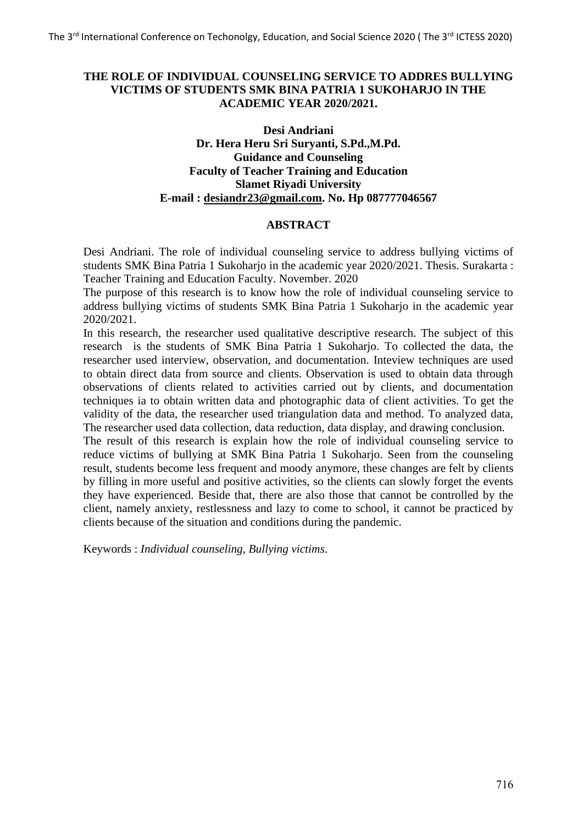# **THE ROLE OF INDIVIDUAL COUNSELING SERVICE TO ADDRES BULLYING VICTIMS OF STUDENTS SMK BINA PATRIA 1 SUKOHARJO IN THE ACADEMIC YEAR 2020/2021.**

# **Desi Andriani Dr. Hera Heru Sri Suryanti, S.Pd.,M.Pd. Guidance and Counseling Faculty of Teacher Training and Education Slamet Riyadi University E-mail : [desiandr23@gmail.com.](mailto:desiandr23@gmail.com) No. Hp 087777046567**

### **ABSTRACT**

Desi Andriani. The role of individual counseling service to address bullying victims of students SMK Bina Patria 1 Sukoharjo in the academic year 2020/2021. Thesis. Surakarta : Teacher Training and Education Faculty. November. 2020

The purpose of this research is to know how the role of individual counseling service to address bullying victims of students SMK Bina Patria 1 Sukoharjo in the academic year 2020/2021.

In this research, the researcher used qualitative descriptive research. The subject of this research is the students of SMK Bina Patria 1 Sukoharjo. To collected the data, the researcher used interview, observation, and documentation. Inteview techniques are used to obtain direct data from source and clients. Observation is used to obtain data through observations of clients related to activities carried out by clients, and documentation techniques ia to obtain written data and photographic data of client activities. To get the validity of the data, the researcher used triangulation data and method. To analyzed data, The researcher used data collection, data reduction, data display, and drawing conclusion.

The result of this research is explain how the role of individual counseling service to reduce victims of bullying at SMK Bina Patria 1 Sukoharjo. Seen from the counseling result, students become less frequent and moody anymore, these changes are felt by clients by filling in more useful and positive activities, so the clients can slowly forget the events they have experienced. Beside that, there are also those that cannot be controlled by the client, namely anxiety, restlessness and lazy to come to school, it cannot be practiced by clients because of the situation and conditions during the pandemic.

Keywords : *Individual counseling, Bullying victims*.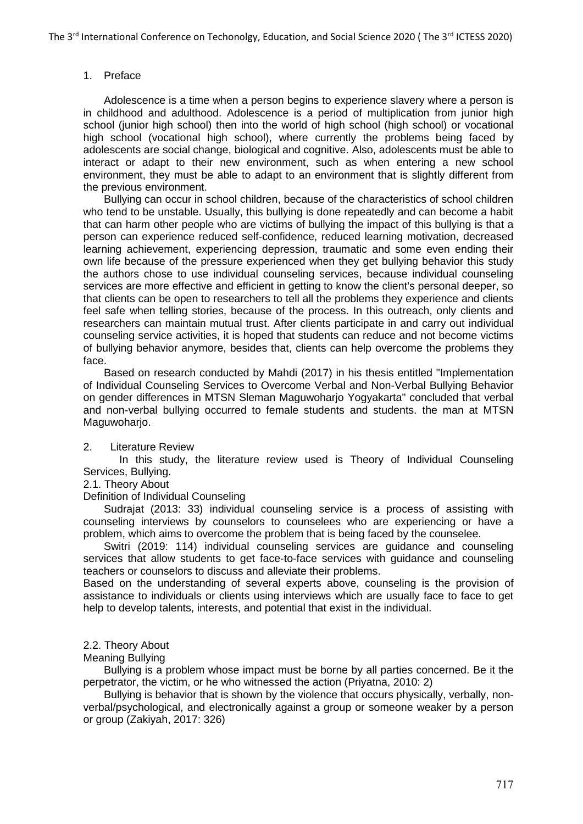### 1. Preface

Adolescence is a time when a person begins to experience slavery where a person is in childhood and adulthood. Adolescence is a period of multiplication from junior high school (junior high school) then into the world of high school (high school) or vocational high school (vocational high school), where currently the problems being faced by adolescents are social change, biological and cognitive. Also, adolescents must be able to interact or adapt to their new environment, such as when entering a new school environment, they must be able to adapt to an environment that is slightly different from the previous environment.

Bullying can occur in school children, because of the characteristics of school children who tend to be unstable. Usually, this bullying is done repeatedly and can become a habit that can harm other people who are victims of bullying the impact of this bullying is that a person can experience reduced self-confidence, reduced learning motivation, decreased learning achievement, experiencing depression, traumatic and some even ending their own life because of the pressure experienced when they get bullying behavior this study the authors chose to use individual counseling services, because individual counseling services are more effective and efficient in getting to know the client's personal deeper, so that clients can be open to researchers to tell all the problems they experience and clients feel safe when telling stories, because of the process. In this outreach, only clients and researchers can maintain mutual trust. After clients participate in and carry out individual counseling service activities, it is hoped that students can reduce and not become victims of bullying behavior anymore, besides that, clients can help overcome the problems they face.

Based on research conducted by Mahdi (2017) in his thesis entitled "Implementation of Individual Counseling Services to Overcome Verbal and Non-Verbal Bullying Behavior on gender differences in MTSN Sleman Maguwoharjo Yogyakarta" concluded that verbal and non-verbal bullying occurred to female students and students. the man at MTSN Maguwoharjo.

#### 2. Literature Review

 In this study, the literature review used is Theory of Individual Counseling Services, Bullying.

#### 2.1. Theory About

Definition of Individual Counseling

Sudrajat (2013: 33) individual counseling service is a process of assisting with counseling interviews by counselors to counselees who are experiencing or have a problem, which aims to overcome the problem that is being faced by the counselee.

Switri (2019: 114) individual counseling services are guidance and counseling services that allow students to get face-to-face services with guidance and counseling teachers or counselors to discuss and alleviate their problems.

Based on the understanding of several experts above, counseling is the provision of assistance to individuals or clients using interviews which are usually face to face to get help to develop talents, interests, and potential that exist in the individual.

#### 2.2. Theory About

### Meaning Bullying

Bullying is a problem whose impact must be borne by all parties concerned. Be it the perpetrator, the victim, or he who witnessed the action (Priyatna, 2010: 2)

Bullying is behavior that is shown by the violence that occurs physically, verbally, nonverbal/psychological, and electronically against a group or someone weaker by a person or group (Zakiyah, 2017: 326)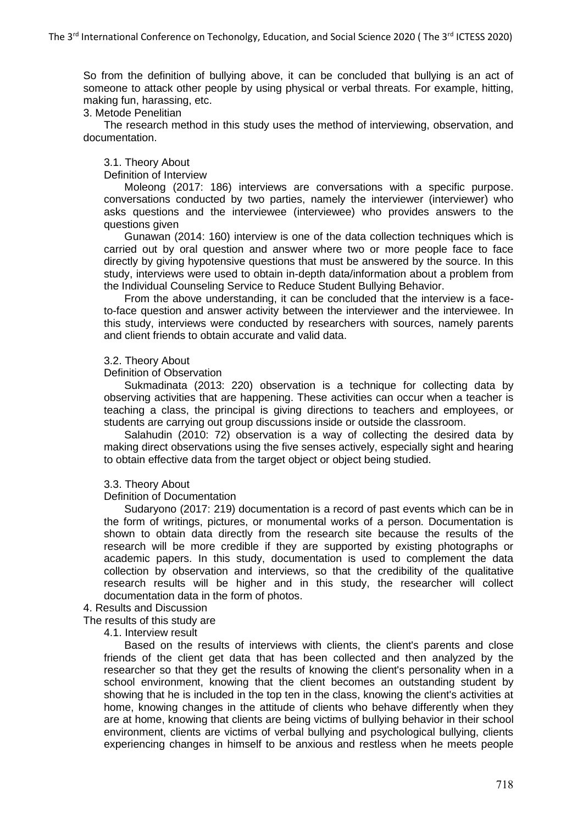So from the definition of bullying above, it can be concluded that bullying is an act of someone to attack other people by using physical or verbal threats. For example, hitting, making fun, harassing, etc.

3. Metode Penelitian

The research method in this study uses the method of interviewing, observation, and documentation.

#### 3.1. Theory About

Definition of Interview

Moleong (2017: 186) interviews are conversations with a specific purpose. conversations conducted by two parties, namely the interviewer (interviewer) who asks questions and the interviewee (interviewee) who provides answers to the questions given

Gunawan (2014: 160) interview is one of the data collection techniques which is carried out by oral question and answer where two or more people face to face directly by giving hypotensive questions that must be answered by the source. In this study, interviews were used to obtain in-depth data/information about a problem from the Individual Counseling Service to Reduce Student Bullying Behavior.

From the above understanding, it can be concluded that the interview is a faceto-face question and answer activity between the interviewer and the interviewee. In this study, interviews were conducted by researchers with sources, namely parents and client friends to obtain accurate and valid data.

#### 3.2. Theory About

#### Definition of Observation

Sukmadinata (2013: 220) observation is a technique for collecting data by observing activities that are happening. These activities can occur when a teacher is teaching a class, the principal is giving directions to teachers and employees, or students are carrying out group discussions inside or outside the classroom.

Salahudin (2010: 72) observation is a way of collecting the desired data by making direct observations using the five senses actively, especially sight and hearing to obtain effective data from the target object or object being studied.

#### 3.3. Theory About

Definition of Documentation

Sudaryono (2017: 219) documentation is a record of past events which can be in the form of writings, pictures, or monumental works of a person. Documentation is shown to obtain data directly from the research site because the results of the research will be more credible if they are supported by existing photographs or academic papers. In this study, documentation is used to complement the data collection by observation and interviews, so that the credibility of the qualitative research results will be higher and in this study, the researcher will collect documentation data in the form of photos.

#### 4. Results and Discussion

The results of this study are

4.1. Interview result

Based on the results of interviews with clients, the client's parents and close friends of the client get data that has been collected and then analyzed by the researcher so that they get the results of knowing the client's personality when in a school environment, knowing that the client becomes an outstanding student by showing that he is included in the top ten in the class, knowing the client's activities at home, knowing changes in the attitude of clients who behave differently when they are at home, knowing that clients are being victims of bullying behavior in their school environment, clients are victims of verbal bullying and psychological bullying, clients experiencing changes in himself to be anxious and restless when he meets people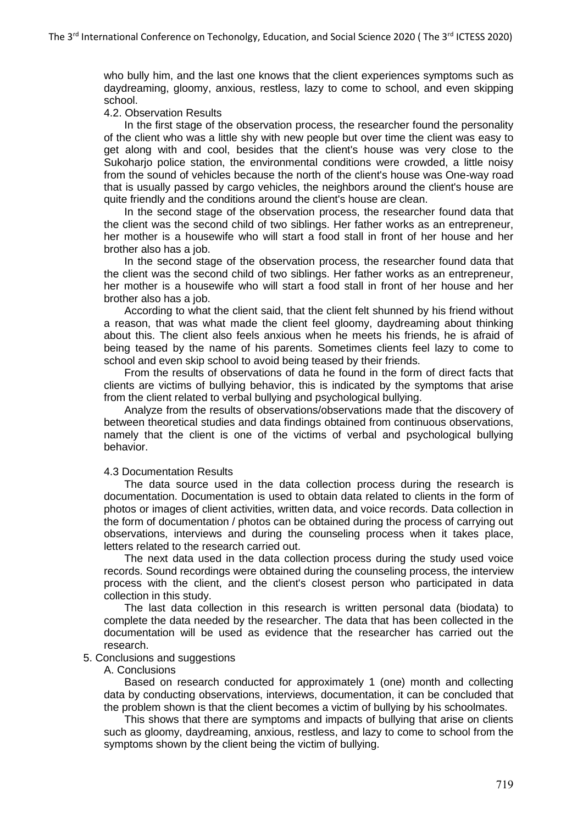who bully him, and the last one knows that the client experiences symptoms such as daydreaming, gloomy, anxious, restless, lazy to come to school, and even skipping school.

### 4.2. Observation Results

In the first stage of the observation process, the researcher found the personality of the client who was a little shy with new people but over time the client was easy to get along with and cool, besides that the client's house was very close to the Sukoharjo police station, the environmental conditions were crowded, a little noisy from the sound of vehicles because the north of the client's house was One-way road that is usually passed by cargo vehicles, the neighbors around the client's house are quite friendly and the conditions around the client's house are clean.

In the second stage of the observation process, the researcher found data that the client was the second child of two siblings. Her father works as an entrepreneur, her mother is a housewife who will start a food stall in front of her house and her brother also has a job.

In the second stage of the observation process, the researcher found data that the client was the second child of two siblings. Her father works as an entrepreneur, her mother is a housewife who will start a food stall in front of her house and her brother also has a job.

According to what the client said, that the client felt shunned by his friend without a reason, that was what made the client feel gloomy, daydreaming about thinking about this. The client also feels anxious when he meets his friends, he is afraid of being teased by the name of his parents. Sometimes clients feel lazy to come to school and even skip school to avoid being teased by their friends.

From the results of observations of data he found in the form of direct facts that clients are victims of bullying behavior, this is indicated by the symptoms that arise from the client related to verbal bullying and psychological bullying.

Analyze from the results of observations/observations made that the discovery of between theoretical studies and data findings obtained from continuous observations, namely that the client is one of the victims of verbal and psychological bullying behavior.

#### 4.3 Documentation Results

The data source used in the data collection process during the research is documentation. Documentation is used to obtain data related to clients in the form of photos or images of client activities, written data, and voice records. Data collection in the form of documentation / photos can be obtained during the process of carrying out observations, interviews and during the counseling process when it takes place, letters related to the research carried out.

The next data used in the data collection process during the study used voice records. Sound recordings were obtained during the counseling process, the interview process with the client, and the client's closest person who participated in data collection in this study.

The last data collection in this research is written personal data (biodata) to complete the data needed by the researcher. The data that has been collected in the documentation will be used as evidence that the researcher has carried out the research.

### 5. Conclusions and suggestions

#### A. Conclusions

Based on research conducted for approximately 1 (one) month and collecting data by conducting observations, interviews, documentation, it can be concluded that the problem shown is that the client becomes a victim of bullying by his schoolmates.

This shows that there are symptoms and impacts of bullying that arise on clients such as gloomy, daydreaming, anxious, restless, and lazy to come to school from the symptoms shown by the client being the victim of bullying.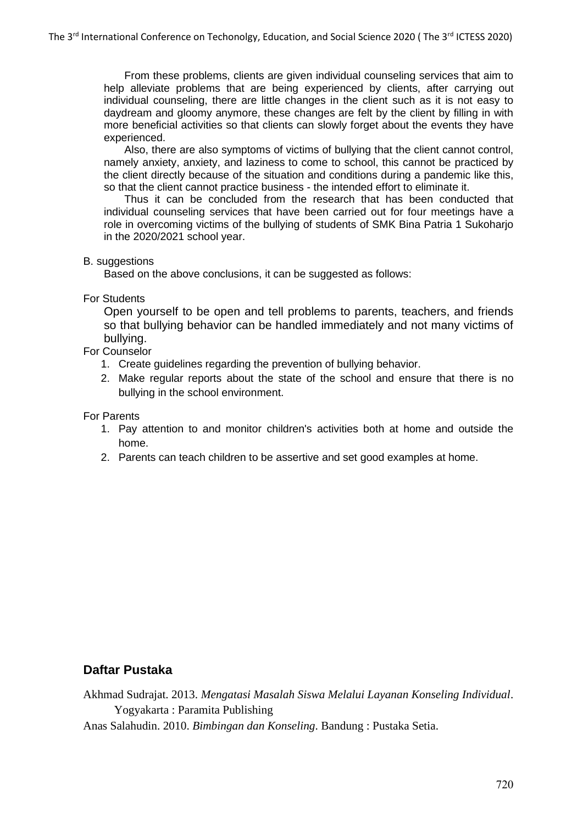From these problems, clients are given individual counseling services that aim to help alleviate problems that are being experienced by clients, after carrying out individual counseling, there are little changes in the client such as it is not easy to daydream and gloomy anymore, these changes are felt by the client by filling in with more beneficial activities so that clients can slowly forget about the events they have experienced.

Also, there are also symptoms of victims of bullying that the client cannot control, namely anxiety, anxiety, and laziness to come to school, this cannot be practiced by the client directly because of the situation and conditions during a pandemic like this, so that the client cannot practice business - the intended effort to eliminate it.

Thus it can be concluded from the research that has been conducted that individual counseling services that have been carried out for four meetings have a role in overcoming victims of the bullying of students of SMK Bina Patria 1 Sukoharjo in the 2020/2021 school year.

### B. suggestions

Based on the above conclusions, it can be suggested as follows:

### For Students

Open yourself to be open and tell problems to parents, teachers, and friends so that bullying behavior can be handled immediately and not many victims of bullying.

# For Counselor

- 1. Create guidelines regarding the prevention of bullying behavior.
- 2. Make regular reports about the state of the school and ensure that there is no bullying in the school environment.

For Parents

- 1. Pay attention to and monitor children's activities both at home and outside the home.
- 2. Parents can teach children to be assertive and set good examples at home.

# **Daftar Pustaka**

Akhmad Sudrajat. 2013. *Mengatasi Masalah Siswa Melalui Layanan Konseling Individual*. Yogyakarta : Paramita Publishing

Anas Salahudin. 2010. *Bimbingan dan Konseling*. Bandung : Pustaka Setia.